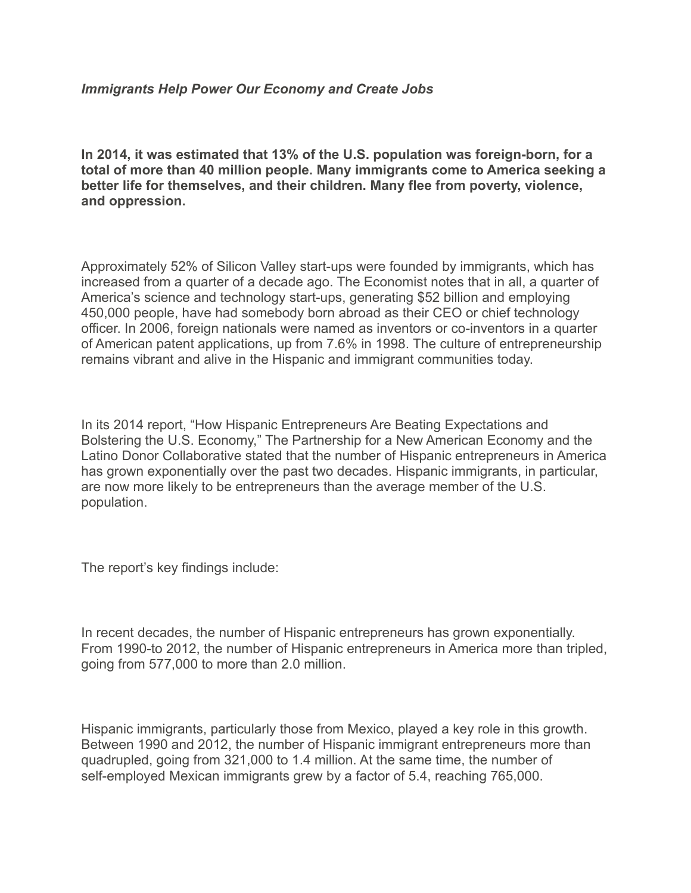## *Immigrants Help Power Our Economy and Create Jobs*

**In 2014, it was estimated that 13% of the U.S. population was foreign-born, for a total of more than 40 million people. Many immigrants come to America seeking a better life for themselves, and their children. Many flee from poverty, violence, and oppression.**

Approximately 52% of Silicon Valley start-ups were founded by immigrants, which has increased from a quarter of a decade ago. The Economist notes that in all, a quarter of America's science and technology start-ups, generating \$52 billion and employing 450,000 people, have had somebody born abroad as their CEO or chief technology officer. In 2006, foreign nationals were named as inventors or co-inventors in a quarter of American patent applications, up from 7.6% in 1998. The culture of entrepreneurship remains vibrant and alive in the Hispanic and immigrant communities today.

In its 2014 report, "How Hispanic Entrepreneurs Are Beating Expectations and Bolstering the U.S. Economy," The Partnership for a New American Economy and the Latino Donor Collaborative stated that the number of Hispanic entrepreneurs in America has grown exponentially over the past two decades. Hispanic immigrants, in particular, are now more likely to be entrepreneurs than the average member of the U.S. population.

The report's key findings include:

In recent decades, the number of Hispanic entrepreneurs has grown exponentially. From 1990-to 2012, the number of Hispanic entrepreneurs in America more than tripled, going from 577,000 to more than 2.0 million.

Hispanic immigrants, particularly those from Mexico, played a key role in this growth. Between 1990 and 2012, the number of Hispanic immigrant entrepreneurs more than quadrupled, going from 321,000 to 1.4 million. At the same time, the number of self-employed Mexican immigrants grew by a factor of 5.4, reaching 765,000.